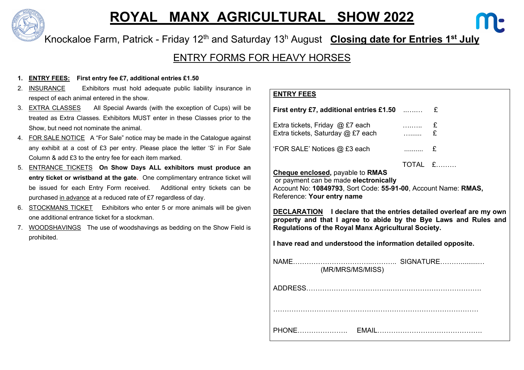

# **ROYAL MANX AGRICULTURAL SHOW 2022**

Knockaloe Farm, Patrick - Friday 12th and Saturday 13h August **Closing date for Entries 1st July**

### ENTRY FORMS FOR HEAVY HORSES

#### **1. ENTRY FEES: First entry fee £7, additional entries £1.50**

- 2. INSURANCE Exhibitors must hold adequate public liability insurance in respect of each animal entered in the show.
- 3. EXTRA CLASSES All Special Awards (with the exception of Cups) will be treated as Extra Classes. Exhibitors MUST enter in these Classes prior to the Show, but need not nominate the animal.
- 4. FOR SALE NOTICE A "For Sale" notice may be made in the Catalogue against any exhibit at a cost of £3 per entry. Please place the letter 'S' in For Sale Column & add £3 to the entry fee for each item marked.
- 5. ENTRANCE TICKETS **On Show Days ALL exhibitors must produce an entry ticket or wristband at the gate.** One complimentary entrance ticket will be issued for each Entry Form received. Additional entry tickets can be purchased in advance at a reduced rate of £7 regardless of day.
- 6. STOCKMANS TICKET Exhibitors who enter 5 or more animals will be given one additional entrance ticket for a stockman.
- 7. WOODSHAVINGS The use of woodshavings as bedding on the Show Field is prohibited.

#### **ENTRY FEES**

| First entry £7, additional entries £1.50 $\ldots$                                                                                                                                                     |                        |             |  |  |  |  |  |
|-------------------------------------------------------------------------------------------------------------------------------------------------------------------------------------------------------|------------------------|-------------|--|--|--|--|--|
|                                                                                                                                                                                                       |                        |             |  |  |  |  |  |
| Extra tickets, Friday @ £7 each                                                                                                                                                                       | $\ldots \ldots \ldots$ |             |  |  |  |  |  |
| Extra tickets, Saturday @ £7 each                                                                                                                                                                     | .                      | £           |  |  |  |  |  |
| 'FOR SALE' Notices @ £3 each                                                                                                                                                                          | $\ldots$ $E$           |             |  |  |  |  |  |
|                                                                                                                                                                                                       |                        | $TOTAL$ $E$ |  |  |  |  |  |
| <b>DECLARATION</b> I declare that the entries detailed overleaf are my own<br>property and that I agree to abide by the Bye Laws and Rules and<br>Regulations of the Royal Manx Agricultural Society. |                        |             |  |  |  |  |  |
|                                                                                                                                                                                                       |                        |             |  |  |  |  |  |
| I have read and understood the information detailed opposite.                                                                                                                                         |                        |             |  |  |  |  |  |
|                                                                                                                                                                                                       |                        |             |  |  |  |  |  |
|                                                                                                                                                                                                       |                        |             |  |  |  |  |  |
| (MR/MRS/MS/MISS)                                                                                                                                                                                      |                        |             |  |  |  |  |  |
|                                                                                                                                                                                                       |                        |             |  |  |  |  |  |
|                                                                                                                                                                                                       |                        |             |  |  |  |  |  |